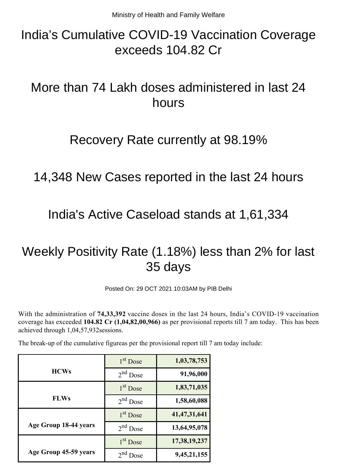# India's Cumulative COVID-19 Vaccination Coverage exceeds 104.82 Cr

# More than 74 Lakh doses administered in last 24 hours

## Recovery Rate currently at 98.19%

# 14,348 New Cases reported in the last 24 hours

## India's Active Caseload stands at 1,61,334

# Weekly Positivity Rate (1.18%) less than 2% for last 35 days

Posted On: 29 OCT 2021 10:03AM by PIB Delhi

With the administration of **74,33,392** vaccine doses in the last 24 hours, India's COVID-19 vaccination coverage has exceeded **104.82 Cr (1,04,82,00,966)** as per provisional reports till 7 am today. This has been achieved through 1,04,57,932sessions.

The break-up of the cumulative figureas per the provisional report till 7 am today include:

|                       | $1st$ Dose           | 1,03,78,753     |
|-----------------------|----------------------|-----------------|
| <b>HCWs</b>           | $2nd$ Dose           | 91,96,000       |
|                       | 1 <sup>st</sup> Dose | 1,83,71,035     |
| <b>FLWs</b>           | $2nd$ Dose           | 1,58,60,088     |
|                       | $1st$ Dose           | 41, 47, 31, 641 |
| Age Group 18-44 years | $2nd$ Dose           | 13,64,95,078    |
|                       | 1 <sup>st</sup> Dose | 17,38,19,237    |
| Age Group 45-59 years | $2nd$ Dose           | 9,45,21,155     |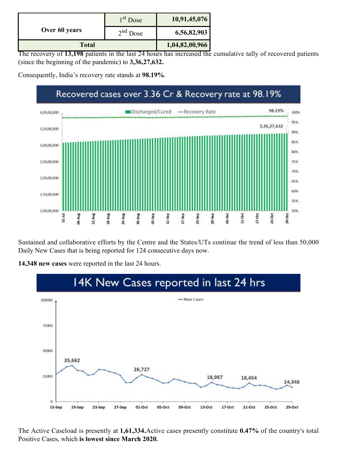|               | $1st$ Dose | 10,91,45,076   |
|---------------|------------|----------------|
| Over 60 years | $2nd$ Dose | 6,56,82,903    |
| <b>Total</b>  |            | 1,04,82,00,966 |

The recovery of **13,198** patients in the last 24 hours has increased the cumulative tally of recovered patients (since the beginning of the pandemic) to **3,36,27,632.**

Consequently, India's recovery rate stands at **98.19%**.

#### Recovered cases over 3.36 Cr & Recovery rate at 98.19% 98.19% Discharged/Cured -Recovery Rate 4,00,00,000 100% 95% 3,36,27,632 3,50,00,000 90% 85% 3,00,00,000 80% 2,50,00,000 75% 70% 2,00,00,000 65% 60% 1,50,00,000 3822 1,00,00,000 SORG 23-Sep  $31 - Jul$ **Dirty-Of NS-Sep** 11-Sep  $17.5ep$ 29-Sep 05-Oct 11-Oct  $17-0ct$ 23-Oct D6-Aug 12-Aug **S-Aug** 24-Aug  $29-0<sub>ct</sub>$

Sustained and collaborative efforts by the Centre and the States/UTs continue the trend of less than 50,000 Daily New Cases that is being reported for 124 consecutive days now.



**14,348 new cases** were reported in the last 24 hours.

The Active Caseload is presently at **1,61,334.**Active cases presently constitute **0.47%** of the country's total Positive Cases, which **is lowest since March 2020.**